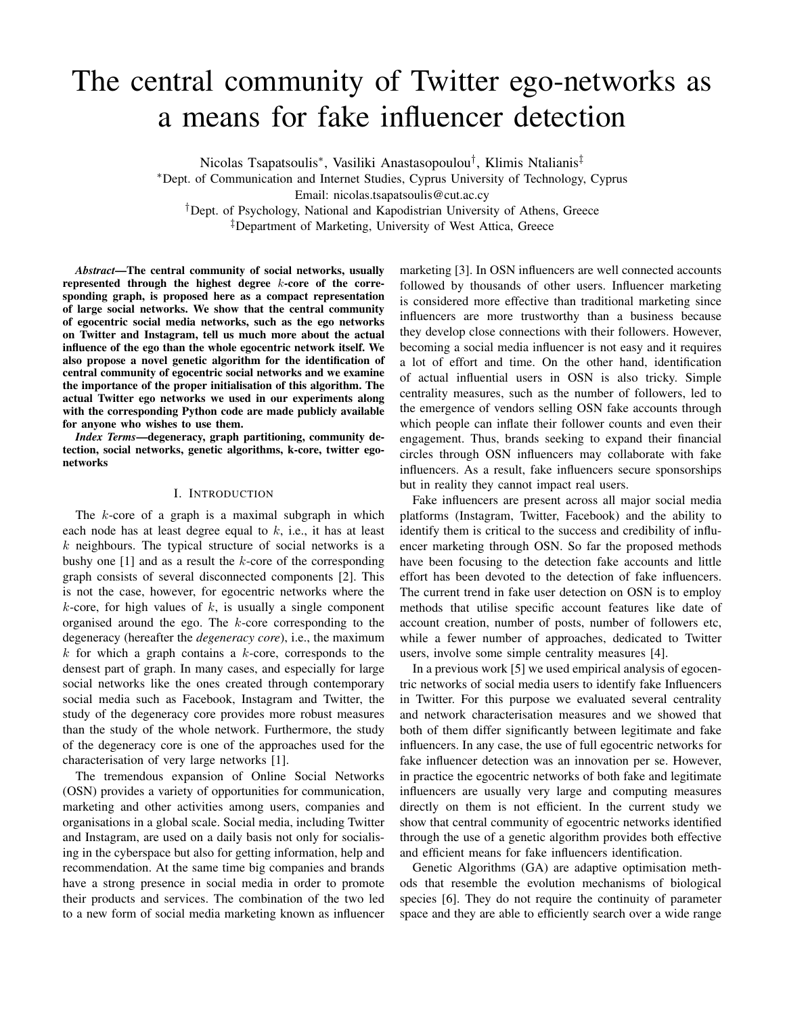# The central community of Twitter ego-networks as a means for fake influencer detection

Nicolas Tsapatsoulis<sup>∗</sup> , Vasiliki Anastasopoulou† , Klimis Ntalianis‡

<sup>∗</sup>Dept. of Communication and Internet Studies, Cyprus University of Technology, Cyprus

Email: nicolas.tsapatsoulis@cut.ac.cy

†Dept. of Psychology, National and Kapodistrian University of Athens, Greece

‡Department of Marketing, University of West Attica, Greece

*Abstract*—The central community of social networks, usually represented through the highest degree k-core of the corresponding graph, is proposed here as a compact representation of large social networks. We show that the central community of egocentric social media networks, such as the ego networks on Twitter and Instagram, tell us much more about the actual influence of the ego than the whole egocentric network itself. We also propose a novel genetic algorithm for the identification of central community of egocentric social networks and we examine the importance of the proper initialisation of this algorithm. The actual Twitter ego networks we used in our experiments along with the corresponding Python code are made publicly available for anyone who wishes to use them.

*Index Terms*—degeneracy, graph partitioning, community detection, social networks, genetic algorithms, k-core, twitter egonetworks

### I. INTRODUCTION

The  $k$ -core of a graph is a maximal subgraph in which each node has at least degree equal to  $k$ , i.e., it has at least  $k$  neighbours. The typical structure of social networks is a bushy one  $[1]$  and as a result the k-core of the corresponding graph consists of several disconnected components [2]. This is not the case, however, for egocentric networks where the  $k$ -core, for high values of  $k$ , is usually a single component organised around the ego. The k-core corresponding to the degeneracy (hereafter the *degeneracy core*), i.e., the maximum  $k$  for which a graph contains a  $k$ -core, corresponds to the densest part of graph. In many cases, and especially for large social networks like the ones created through contemporary social media such as Facebook, Instagram and Twitter, the study of the degeneracy core provides more robust measures than the study of the whole network. Furthermore, the study of the degeneracy core is one of the approaches used for the characterisation of very large networks [1].

The tremendous expansion of Online Social Networks (OSN) provides a variety of opportunities for communication, marketing and other activities among users, companies and organisations in a global scale. Social media, including Twitter and Instagram, are used on a daily basis not only for socialising in the cyberspace but also for getting information, help and recommendation. At the same time big companies and brands have a strong presence in social media in order to promote their products and services. The combination of the two led to a new form of social media marketing known as influencer

marketing [3]. In OSN influencers are well connected accounts followed by thousands of other users. Influencer marketing is considered more effective than traditional marketing since influencers are more trustworthy than a business because they develop close connections with their followers. However, becoming a social media influencer is not easy and it requires a lot of effort and time. On the other hand, identification of actual influential users in OSN is also tricky. Simple centrality measures, such as the number of followers, led to the emergence of vendors selling OSN fake accounts through which people can inflate their follower counts and even their engagement. Thus, brands seeking to expand their financial circles through OSN influencers may collaborate with fake influencers. As a result, fake influencers secure sponsorships but in reality they cannot impact real users.

Fake influencers are present across all major social media platforms (Instagram, Twitter, Facebook) and the ability to identify them is critical to the success and credibility of influencer marketing through OSN. So far the proposed methods have been focusing to the detection fake accounts and little effort has been devoted to the detection of fake influencers. The current trend in fake user detection on OSN is to employ methods that utilise specific account features like date of account creation, number of posts, number of followers etc, while a fewer number of approaches, dedicated to Twitter users, involve some simple centrality measures [4].

In a previous work [5] we used empirical analysis of egocentric networks of social media users to identify fake Influencers in Twitter. For this purpose we evaluated several centrality and network characterisation measures and we showed that both of them differ significantly between legitimate and fake influencers. In any case, the use of full egocentric networks for fake influencer detection was an innovation per se. However, in practice the egocentric networks of both fake and legitimate influencers are usually very large and computing measures directly on them is not efficient. In the current study we show that central community of egocentric networks identified through the use of a genetic algorithm provides both effective and efficient means for fake influencers identification.

Genetic Algorithms (GA) are adaptive optimisation methods that resemble the evolution mechanisms of biological species [6]. They do not require the continuity of parameter space and they are able to efficiently search over a wide range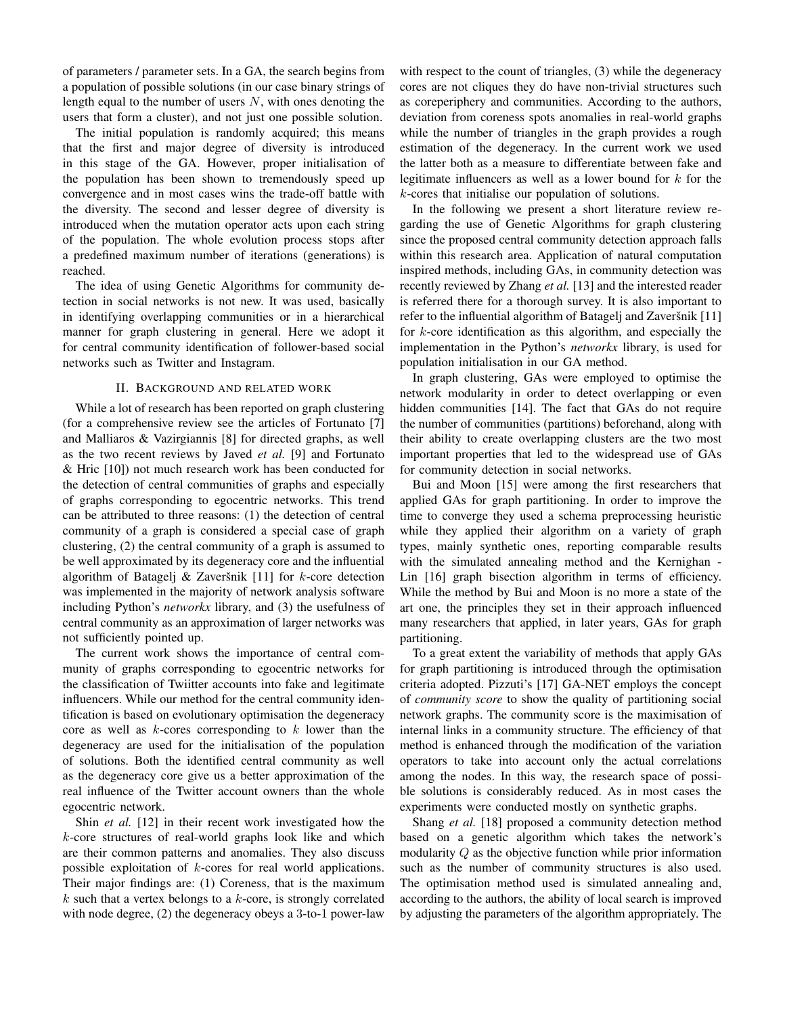of parameters / parameter sets. In a GA, the search begins from a population of possible solutions (in our case binary strings of length equal to the number of users  $N$ , with ones denoting the users that form a cluster), and not just one possible solution.

The initial population is randomly acquired; this means that the first and major degree of diversity is introduced in this stage of the GA. However, proper initialisation of the population has been shown to tremendously speed up convergence and in most cases wins the trade-off battle with the diversity. The second and lesser degree of diversity is introduced when the mutation operator acts upon each string of the population. The whole evolution process stops after a predefined maximum number of iterations (generations) is reached.

The idea of using Genetic Algorithms for community detection in social networks is not new. It was used, basically in identifying overlapping communities or in a hierarchical manner for graph clustering in general. Here we adopt it for central community identification of follower-based social networks such as Twitter and Instagram.

## II. BACKGROUND AND RELATED WORK

While a lot of research has been reported on graph clustering (for a comprehensive review see the articles of Fortunato [7] and Malliaros & Vazirgiannis [8] for directed graphs, as well as the two recent reviews by Javed *et al.* [9] and Fortunato & Hric [10]) not much research work has been conducted for the detection of central communities of graphs and especially of graphs corresponding to egocentric networks. This trend can be attributed to three reasons: (1) the detection of central community of a graph is considered a special case of graph clustering, (2) the central community of a graph is assumed to be well approximated by its degeneracy core and the influential algorithm of Batagelj  $& Zaver\$  [11] for  $k$ -core detection was implemented in the majority of network analysis software including Python's *networkx* library, and (3) the usefulness of central community as an approximation of larger networks was not sufficiently pointed up.

The current work shows the importance of central community of graphs corresponding to egocentric networks for the classification of Twiitter accounts into fake and legitimate influencers. While our method for the central community identification is based on evolutionary optimisation the degeneracy core as well as  $k$ -cores corresponding to  $k$  lower than the degeneracy are used for the initialisation of the population of solutions. Both the identified central community as well as the degeneracy core give us a better approximation of the real influence of the Twitter account owners than the whole egocentric network.

Shin *et al.* [12] in their recent work investigated how the k-core structures of real-world graphs look like and which are their common patterns and anomalies. They also discuss possible exploitation of k-cores for real world applications. Their major findings are: (1) Coreness, that is the maximum  $k$  such that a vertex belongs to a  $k$ -core, is strongly correlated with node degree, (2) the degeneracy obeys a 3-to-1 power-law

with respect to the count of triangles, (3) while the degeneracy cores are not cliques they do have non-trivial structures such as coreperiphery and communities. According to the authors, deviation from coreness spots anomalies in real-world graphs while the number of triangles in the graph provides a rough estimation of the degeneracy. In the current work we used the latter both as a measure to differentiate between fake and legitimate influencers as well as a lower bound for  $k$  for the k-cores that initialise our population of solutions.

In the following we present a short literature review regarding the use of Genetic Algorithms for graph clustering since the proposed central community detection approach falls within this research area. Application of natural computation inspired methods, including GAs, in community detection was recently reviewed by Zhang *et al.* [13] and the interested reader is referred there for a thorough survey. It is also important to refer to the influential algorithm of Batagelj and Zaveršnik  $[11]$ for k-core identification as this algorithm, and especially the implementation in the Python's *networkx* library, is used for population initialisation in our GA method.

In graph clustering, GAs were employed to optimise the network modularity in order to detect overlapping or even hidden communities [14]. The fact that GAs do not require the number of communities (partitions) beforehand, along with their ability to create overlapping clusters are the two most important properties that led to the widespread use of GAs for community detection in social networks.

Bui and Moon [15] were among the first researchers that applied GAs for graph partitioning. In order to improve the time to converge they used a schema preprocessing heuristic while they applied their algorithm on a variety of graph types, mainly synthetic ones, reporting comparable results with the simulated annealing method and the Kernighan - Lin [16] graph bisection algorithm in terms of efficiency. While the method by Bui and Moon is no more a state of the art one, the principles they set in their approach influenced many researchers that applied, in later years, GAs for graph partitioning.

To a great extent the variability of methods that apply GAs for graph partitioning is introduced through the optimisation criteria adopted. Pizzuti's [17] GA-NET employs the concept of *community score* to show the quality of partitioning social network graphs. The community score is the maximisation of internal links in a community structure. The efficiency of that method is enhanced through the modification of the variation operators to take into account only the actual correlations among the nodes. In this way, the research space of possible solutions is considerably reduced. As in most cases the experiments were conducted mostly on synthetic graphs.

Shang *et al.* [18] proposed a community detection method based on a genetic algorithm which takes the network's modularity Q as the objective function while prior information such as the number of community structures is also used. The optimisation method used is simulated annealing and, according to the authors, the ability of local search is improved by adjusting the parameters of the algorithm appropriately. The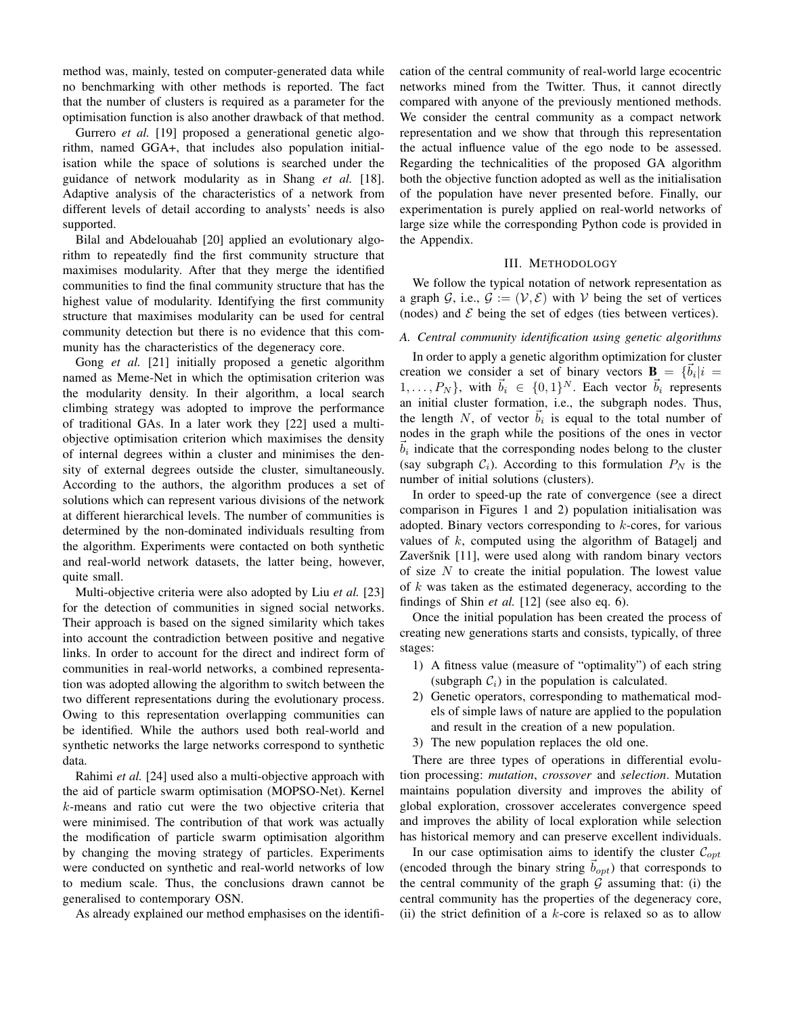method was, mainly, tested on computer-generated data while no benchmarking with other methods is reported. The fact that the number of clusters is required as a parameter for the optimisation function is also another drawback of that method.

Gurrero *et al.* [19] proposed a generational genetic algorithm, named GGA+, that includes also population initialisation while the space of solutions is searched under the guidance of network modularity as in Shang *et al.* [18]. Adaptive analysis of the characteristics of a network from different levels of detail according to analysts' needs is also supported.

Bilal and Abdelouahab [20] applied an evolutionary algorithm to repeatedly find the first community structure that maximises modularity. After that they merge the identified communities to find the final community structure that has the highest value of modularity. Identifying the first community structure that maximises modularity can be used for central community detection but there is no evidence that this community has the characteristics of the degeneracy core.

Gong *et al.* [21] initially proposed a genetic algorithm named as Meme-Net in which the optimisation criterion was the modularity density. In their algorithm, a local search climbing strategy was adopted to improve the performance of traditional GAs. In a later work they [22] used a multiobjective optimisation criterion which maximises the density of internal degrees within a cluster and minimises the density of external degrees outside the cluster, simultaneously. According to the authors, the algorithm produces a set of solutions which can represent various divisions of the network at different hierarchical levels. The number of communities is determined by the non-dominated individuals resulting from the algorithm. Experiments were contacted on both synthetic and real-world network datasets, the latter being, however, quite small.

Multi-objective criteria were also adopted by Liu *et al.* [23] for the detection of communities in signed social networks. Their approach is based on the signed similarity which takes into account the contradiction between positive and negative links. In order to account for the direct and indirect form of communities in real-world networks, a combined representation was adopted allowing the algorithm to switch between the two different representations during the evolutionary process. Owing to this representation overlapping communities can be identified. While the authors used both real-world and synthetic networks the large networks correspond to synthetic data.

Rahimi *et al.* [24] used also a multi-objective approach with the aid of particle swarm optimisation (MOPSO-Net). Kernel k-means and ratio cut were the two objective criteria that were minimised. The contribution of that work was actually the modification of particle swarm optimisation algorithm by changing the moving strategy of particles. Experiments were conducted on synthetic and real-world networks of low to medium scale. Thus, the conclusions drawn cannot be generalised to contemporary OSN.

As already explained our method emphasises on the identifi-

cation of the central community of real-world large ecocentric networks mined from the Twitter. Thus, it cannot directly compared with anyone of the previously mentioned methods. We consider the central community as a compact network representation and we show that through this representation the actual influence value of the ego node to be assessed. Regarding the technicalities of the proposed GA algorithm both the objective function adopted as well as the initialisation of the population have never presented before. Finally, our experimentation is purely applied on real-world networks of large size while the corresponding Python code is provided in the Appendix.

#### III. METHODOLOGY

We follow the typical notation of network representation as a graph G, i.e.,  $G := (\mathcal{V}, \mathcal{E})$  with V being the set of vertices (nodes) and  $\mathcal E$  being the set of edges (ties between vertices).

# *A. Central community identification using genetic algorithms*

In order to apply a genetic algorithm optimization for cluster creation we consider a set of binary vectors  $\mathbf{B} = \{\vec{b}_i | i =$  $1, \ldots, P_N$ , with  $\vec{b}_i \in \{0, 1\}^N$ . Each vector  $\vec{b}_i$  represents an initial cluster formation, i.e., the subgraph nodes. Thus, the length N, of vector  $\vec{b}_i$  is equal to the total number of nodes in the graph while the positions of the ones in vector  $\vec{b}_i$  indicate that the corresponding nodes belong to the cluster (say subgraph  $C_i$ ). According to this formulation  $P_N$  is the number of initial solutions (clusters).

In order to speed-up the rate of convergence (see a direct comparison in Figures 1 and 2) population initialisation was adopted. Binary vectors corresponding to  $k$ -cores, for various values of  $k$ , computed using the algorithm of Batagelj and Zaveršnik [11], were used along with random binary vectors of size  $N$  to create the initial population. The lowest value of k was taken as the estimated degeneracy, according to the findings of Shin *et al.* [12] (see also eq. 6).

Once the initial population has been created the process of creating new generations starts and consists, typically, of three stages:

- 1) A fitness value (measure of "optimality") of each string (subgraph  $\mathcal{C}_i$ ) in the population is calculated.
- 2) Genetic operators, corresponding to mathematical models of simple laws of nature are applied to the population and result in the creation of a new population.
- 3) The new population replaces the old one.

There are three types of operations in differential evolution processing: *mutation*, *crossover* and *selection*. Mutation maintains population diversity and improves the ability of global exploration, crossover accelerates convergence speed and improves the ability of local exploration while selection has historical memory and can preserve excellent individuals.

In our case optimisation aims to identify the cluster  $\mathcal{C}_{opt}$ (encoded through the binary string  $\vec{b}_{\text{out}}$ ) that corresponds to the central community of the graph  $G$  assuming that: (i) the central community has the properties of the degeneracy core, (ii) the strict definition of a  $k$ -core is relaxed so as to allow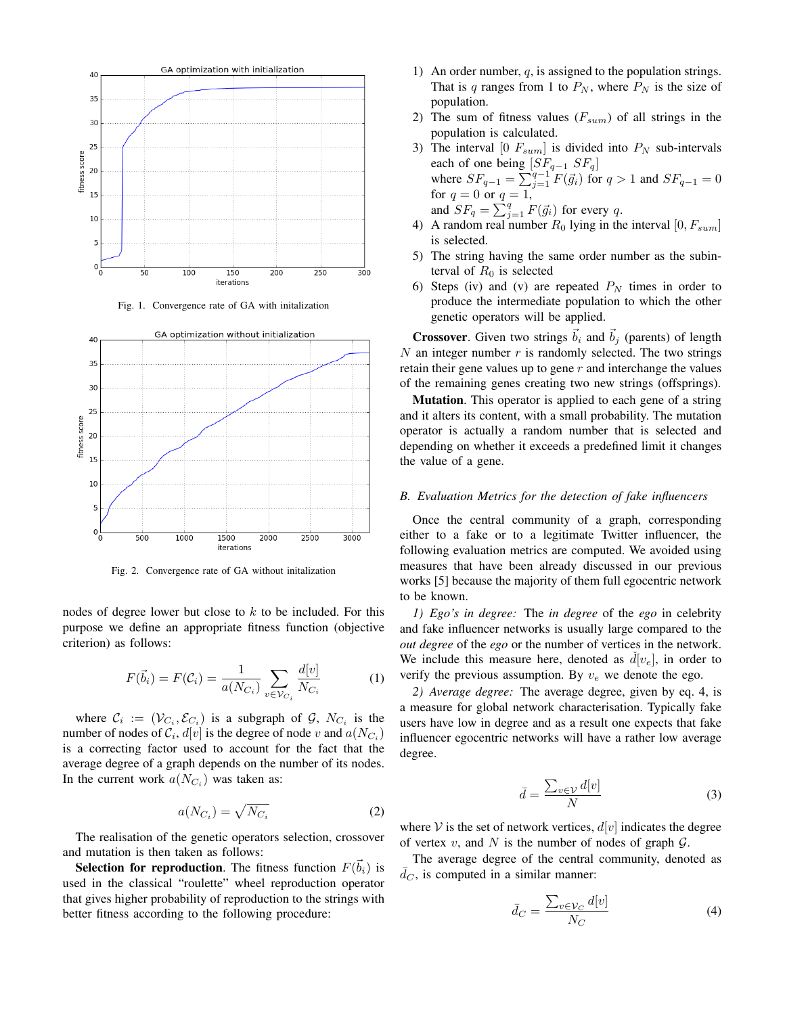

Fig. 1. Convergence rate of GA with initalization



Fig. 2. Convergence rate of GA without initalization

nodes of degree lower but close to  $k$  to be included. For this purpose we define an appropriate fitness function (objective criterion) as follows:

$$
F(\vec{b}_i) = F(C_i) = \frac{1}{a(N_{C_i})} \sum_{v \in \mathcal{V}_{C_i}} \frac{d[v]}{N_{C_i}}
$$
(1)

where  $\mathcal{C}_i := (\mathcal{V}_{C_i}, \mathcal{E}_{C_i})$  is a subgraph of  $\mathcal{G}, N_{C_i}$  is the number of nodes of  $\mathcal{C}_i$ ,  $d[v]$  is the degree of node v and  $a(N_{C_i})$ is a correcting factor used to account for the fact that the average degree of a graph depends on the number of its nodes. In the current work  $a(N_{C_i})$  was taken as:

$$
a(N_{C_i}) = \sqrt{N_{C_i}}\tag{2}
$$

The realisation of the genetic operators selection, crossover and mutation is then taken as follows:

**Selection for reproduction**. The fitness function  $F(\vec{b}_i)$  is used in the classical "roulette" wheel reproduction operator that gives higher probability of reproduction to the strings with better fitness according to the following procedure:

- 1) An order number,  $q$ , is assigned to the population strings. That is q ranges from 1 to  $P_N$ , where  $P_N$  is the size of population.
- 2) The sum of fitness values  $(F_{sum})$  of all strings in the population is calculated.
- 3) The interval [0  $F_{sum}$ ] is divided into  $P_N$  sub-intervals each of one being  $[SF_{q-1} S F_q]$ where  $SF_{q-1} = \sum_{j=1}^{q-1} F(\vec{g}_i)$  for  $q > 1$  and  $SF_{q-1} = 0$ for  $q = 0$  or  $q = 1$ , and  $SF_q = \sum_{j=1}^{q} F(\vec{g_i})$  for every q.
- 4) A random real number  $R_0$  lying in the interval  $[0, F_{sum}]$ is selected.
- 5) The string having the same order number as the subinterval of  $R_0$  is selected
- 6) Steps (iv) and (v) are repeated  $P<sub>N</sub>$  times in order to produce the intermediate population to which the other genetic operators will be applied.

**Crossover.** Given two strings  $\vec{b}_i$  and  $\vec{b}_j$  (parents) of length  $N$  an integer number  $r$  is randomly selected. The two strings retain their gene values up to gene  $r$  and interchange the values of the remaining genes creating two new strings (offsprings).

Mutation. This operator is applied to each gene of a string and it alters its content, with a small probability. The mutation operator is actually a random number that is selected and depending on whether it exceeds a predefined limit it changes the value of a gene.

#### *B. Evaluation Metrics for the detection of fake influencers*

Once the central community of a graph, corresponding either to a fake or to a legitimate Twitter influencer, the following evaluation metrics are computed. We avoided using measures that have been already discussed in our previous works [5] because the majority of them full egocentric network to be known.

*1) Ego's in degree:* The *in degree* of the *ego* in celebrity and fake influencer networks is usually large compared to the *out degree* of the *ego* or the number of vertices in the network. We include this measure here, denoted as  $d[v_e]$ , in order to verify the previous assumption. By  $v_e$  we denote the ego.

*2) Average degree:* The average degree, given by eq. 4, is a measure for global network characterisation. Typically fake users have low in degree and as a result one expects that fake influencer egocentric networks will have a rather low average degree.

$$
\bar{d} = \frac{\sum_{v \in \mathcal{V}} d[v]}{N} \tag{3}
$$

where V is the set of network vertices,  $d[v]$  indicates the degree of vertex  $v$ , and  $N$  is the number of nodes of graph  $\mathcal{G}$ .

The average degree of the central community, denoted as  $\overline{d}_C$ , is computed in a similar manner:

$$
\bar{d}_C = \frac{\sum_{v \in \mathcal{V}_C} d[v]}{N_C} \tag{4}
$$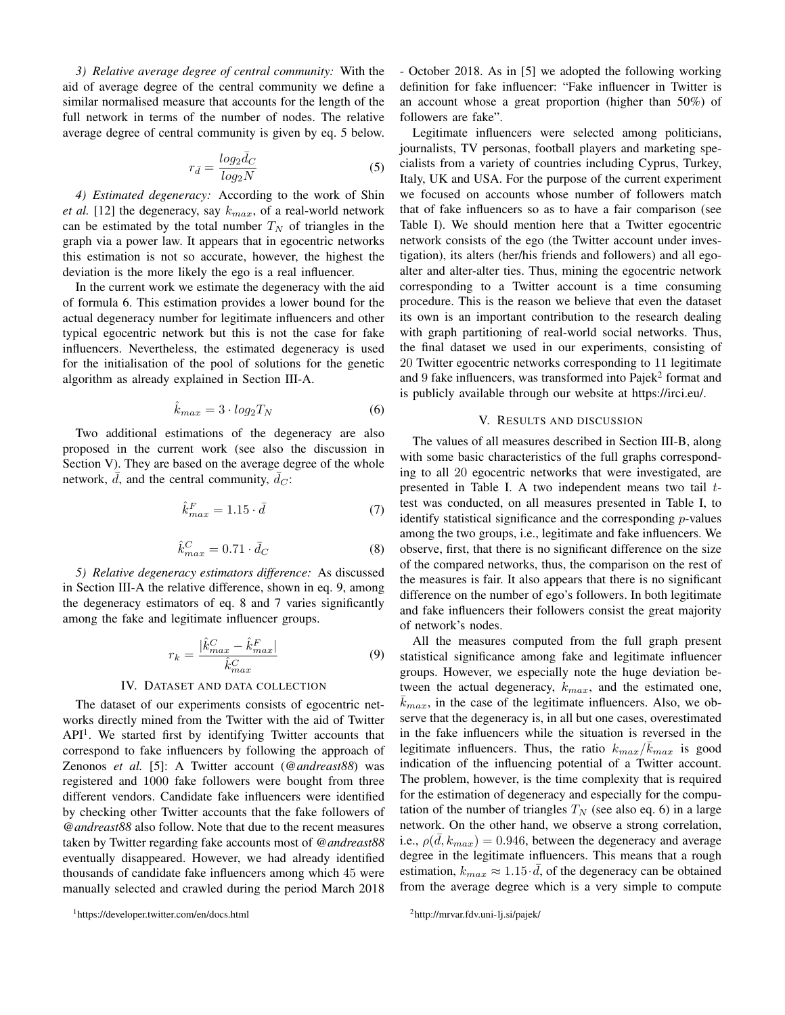*3) Relative average degree of central community:* With the aid of average degree of the central community we define a similar normalised measure that accounts for the length of the full network in terms of the number of nodes. The relative average degree of central community is given by eq. 5 below.

$$
r_{\bar{d}} = \frac{\log_2 \bar{d}_C}{\log_2 N} \tag{5}
$$

*4) Estimated degeneracy:* According to the work of Shin *et al.* [12] the degeneracy, say  $k_{max}$ , of a real-world network can be estimated by the total number  $T_N$  of triangles in the graph via a power law. It appears that in egocentric networks this estimation is not so accurate, however, the highest the deviation is the more likely the ego is a real influencer.

In the current work we estimate the degeneracy with the aid of formula 6. This estimation provides a lower bound for the actual degeneracy number for legitimate influencers and other typical egocentric network but this is not the case for fake influencers. Nevertheless, the estimated degeneracy is used for the initialisation of the pool of solutions for the genetic algorithm as already explained in Section III-A.

$$
\hat{k}_{max} = 3 \cdot log_2 T_N \tag{6}
$$

Two additional estimations of the degeneracy are also proposed in the current work (see also the discussion in Section V). They are based on the average degree of the whole network,  $\overline{d}$ , and the central community,  $\overline{d}_C$ :

$$
\hat{k}_{max}^F = 1.15 \cdot \bar{d} \tag{7}
$$

$$
\hat{k}_{max}^C = 0.71 \cdot \bar{d}_C \tag{8}
$$

*5) Relative degeneracy estimators difference:* As discussed in Section III-A the relative difference, shown in eq. 9, among the degeneracy estimators of eq. 8 and 7 varies significantly among the fake and legitimate influencer groups.

$$
r_k = \frac{|\hat{k}_{max}^C - \hat{k}_{max}^F|}{\hat{k}_{max}^C}
$$
 (9)

#### IV. DATASET AND DATA COLLECTION

The dataset of our experiments consists of egocentric networks directly mined from the Twitter with the aid of Twitter  $API<sup>1</sup>$ . We started first by identifying Twitter accounts that correspond to fake influencers by following the approach of Zenonos *et al.* [5]: A Twitter account (*@andreast88*) was registered and 1000 fake followers were bought from three different vendors. Candidate fake influencers were identified by checking other Twitter accounts that the fake followers of *@andreast88* also follow. Note that due to the recent measures taken by Twitter regarding fake accounts most of *@andreast88* eventually disappeared. However, we had already identified thousands of candidate fake influencers among which 45 were manually selected and crawled during the period March 2018

- October 2018. As in [5] we adopted the following working definition for fake influencer: "Fake influencer in Twitter is an account whose a great proportion (higher than 50%) of followers are fake".

Legitimate influencers were selected among politicians, journalists, TV personas, football players and marketing specialists from a variety of countries including Cyprus, Turkey, Italy, UK and USA. For the purpose of the current experiment we focused on accounts whose number of followers match that of fake influencers so as to have a fair comparison (see Table I). We should mention here that a Twitter egocentric network consists of the ego (the Twitter account under investigation), its alters (her/his friends and followers) and all egoalter and alter-alter ties. Thus, mining the egocentric network corresponding to a Twitter account is a time consuming procedure. This is the reason we believe that even the dataset its own is an important contribution to the research dealing with graph partitioning of real-world social networks. Thus, the final dataset we used in our experiments, consisting of 20 Twitter egocentric networks corresponding to 11 legitimate and  $9$  fake influencers, was transformed into Pajek $2$  format and is publicly available through our website at https://irci.eu/.

#### V. RESULTS AND DISCUSSION

The values of all measures described in Section III-B, along with some basic characteristics of the full graphs corresponding to all 20 egocentric networks that were investigated, are presented in Table I. A two independent means two tail ttest was conducted, on all measures presented in Table I, to identify statistical significance and the corresponding p-values among the two groups, i.e., legitimate and fake influencers. We observe, first, that there is no significant difference on the size of the compared networks, thus, the comparison on the rest of the measures is fair. It also appears that there is no significant difference on the number of ego's followers. In both legitimate and fake influencers their followers consist the great majority of network's nodes.

All the measures computed from the full graph present statistical significance among fake and legitimate influencer groups. However, we especially note the huge deviation between the actual degeneracy,  $k_{max}$ , and the estimated one,  $k_{max}$ , in the case of the legitimate influencers. Also, we observe that the degeneracy is, in all but one cases, overestimated in the fake influencers while the situation is reversed in the legitimate influencers. Thus, the ratio  $k_{max}/\bar{k}_{max}$  is good indication of the influencing potential of a Twitter account. The problem, however, is the time complexity that is required for the estimation of degeneracy and especially for the computation of the number of triangles  $T_N$  (see also eq. 6) in a large network. On the other hand, we observe a strong correlation, i.e.,  $\rho(\bar{d}, k_{max}) = 0.946$ , between the degeneracy and average degree in the legitimate influencers. This means that a rough estimation,  $k_{max} \approx 1.15 \cdot \bar{d}$ , of the degeneracy can be obtained from the average degree which is a very simple to compute

<sup>1</sup>https://developer.twitter.com/en/docs.html

<sup>2</sup>http://mrvar.fdv.uni-lj.si/pajek/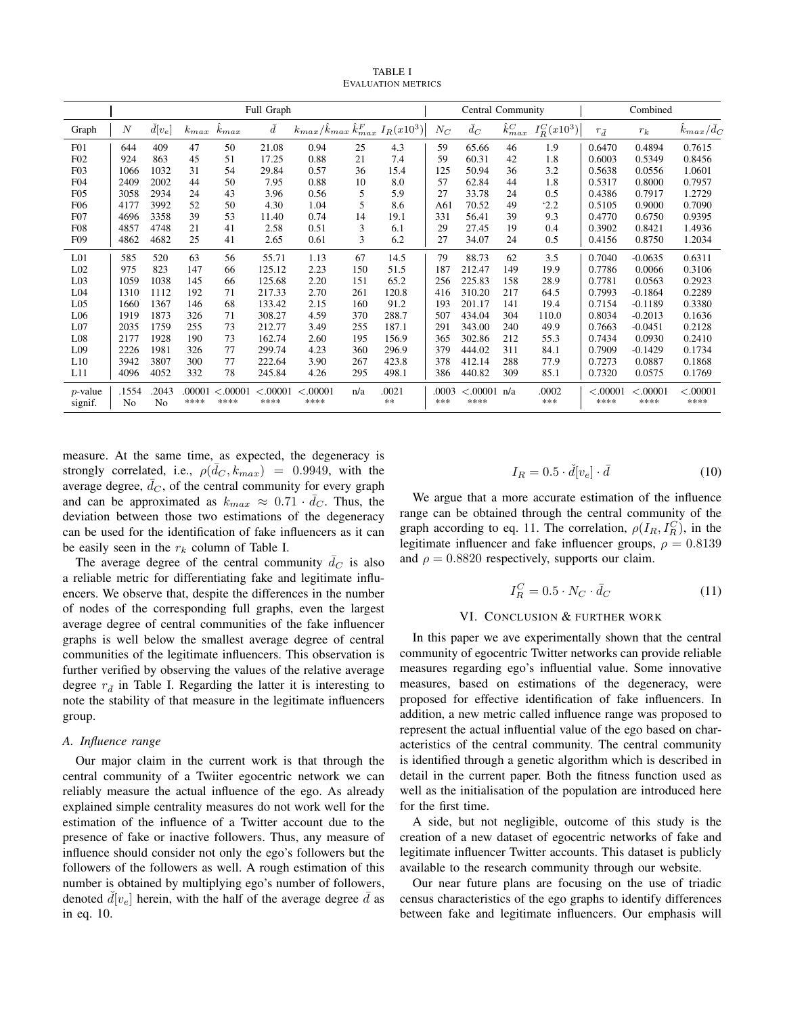TABLE I EVALUATION METRICS

|                       |                  |                         |                |                  | Full Graph       |                                                        |     |             |              | <b>Central Community</b> |                   |                |                  | Combined         |                             |
|-----------------------|------------------|-------------------------|----------------|------------------|------------------|--------------------------------------------------------|-----|-------------|--------------|--------------------------|-------------------|----------------|------------------|------------------|-----------------------------|
| Graph                 | $\boldsymbol{N}$ | $\check{d}[v_e]$        | $k_{max}$      | $k_{max}$        | $\bar{d}$        | $k_{max}/\hat{k}_{max}$ $\hat{k}_{max}^F$ $I_R(x10^3)$ |     |             | $N_C$        | $\bar{d}_C$              | $\hat{k}^C_{max}$ | $I_R^C(x10^3)$ | $r_{\bar{d}}$    | $r_k$            | $\hat{k}_{max}/\bar{d}_{C}$ |
| F01                   | 644              | 409                     | 47             | 50               | 21.08            | 0.94                                                   | 25  | 4.3         | 59           | 65.66                    | 46                | 1.9            | 0.6470           | 0.4894           | 0.7615                      |
| F02                   | 924              | 863                     | 45             | 51               | 17.25            | 0.88                                                   | 21  | 7.4         | 59           | 60.31                    | 42                | 1.8            | 0.6003           | 0.5349           | 0.8456                      |
| F03                   | 1066             | 1032                    | 31             | 54               | 29.84            | 0.57                                                   | 36  | 15.4        | 125          | 50.94                    | 36                | 3.2            | 0.5638           | 0.0556           | 1.0601                      |
| F04                   | 2409             | 2002                    | 44             | 50               | 7.95             | 0.88                                                   | 10  | 8.0         | 57           | 62.84                    | 44                | 1.8            | 0.5317           | 0.8000           | 0.7957                      |
| F05                   | 3058             | 2934                    | 24             | 43               | 3.96             | 0.56                                                   | 5   | 5.9         | 27           | 33.78                    | 24                | 0.5            | 0.4386           | 0.7917           | 1.2729                      |
| <b>F06</b>            | 4177             | 3992                    | 52             | 50               | 4.30             | 1.04                                                   | 5   | 8.6         | A61          | 70.52                    | 49                | 2.2            | 0.5105           | 0.9000           | 0.7090                      |
| F07                   | 4696             | 3358                    | 39             | 53               | 11.40            | 0.74                                                   | 14  | 19.1        | 331          | 56.41                    | 39                | 9.3            | 0.4770           | 0.6750           | 0.9395                      |
| F08                   | 4857             | 4748                    | 21             | 41               | 2.58             | 0.51                                                   | 3   | 6.1         | 29           | 27.45                    | 19                | 0.4            | 0.3902           | 0.8421           | 1.4936                      |
| F <sub>09</sub>       | 4862             | 4682                    | 25             | 41               | 2.65             | 0.61                                                   | 3   | 6.2         | 27           | 34.07                    | 24                | 0.5            | 0.4156           | 0.8750           | 1.2034                      |
| L <sub>01</sub>       | 585              | 520                     | 63             | 56               | 55.71            | 1.13                                                   | 67  | 14.5        | 79           | 88.73                    | 62                | 3.5            | 0.7040           | $-0.0635$        | 0.6311                      |
| L <sub>02</sub>       | 975              | 823                     | 147            | 66               | 125.12           | 2.23                                                   | 150 | 51.5        | 187          | 212.47                   | 149               | 19.9           | 0.7786           | 0.0066           | 0.3106                      |
| L <sub>03</sub>       | 1059             | 1038                    | 145            | 66               | 125.68           | 2.20                                                   | 151 | 65.2        | 256          | 225.83                   | 158               | 28.9           | 0.7781           | 0.0563           | 0.2923                      |
| L <sub>04</sub>       | 1310             | 1112                    | 192            | 71               | 217.33           | 2.70                                                   | 261 | 120.8       | 416          | 310.20                   | 217               | 64.5           | 0.7993           | $-0.1864$        | 0.2289                      |
| L <sub>05</sub>       | 1660             | 1367                    | 146            | 68               | 133.42           | 2.15                                                   | 160 | 91.2        | 193          | 201.17                   | 141               | 19.4           | 0.7154           | $-0.1189$        | 0.3380                      |
| L <sub>06</sub>       | 1919             | 1873                    | 326            | 71               | 308.27           | 4.59                                                   | 370 | 288.7       | 507          | 434.04                   | 304               | 110.0          | 0.8034           | $-0.2013$        | 0.1636                      |
| L <sub>07</sub>       | 2035             | 1759                    | 255            | 73               | 212.77           | 3.49                                                   | 255 | 187.1       | 291          | 343.00                   | 240               | 49.9           | 0.7663           | $-0.0451$        | 0.2128                      |
| L08                   | 2177             | 1928                    | 190            | 73               | 162.74           | 2.60                                                   | 195 | 156.9       | 365          | 302.86                   | 212               | 55.3           | 0.7434           | 0.0930           | 0.2410                      |
| L09                   | 2226             | 1981                    | 326            | 77               | 299.74           | 4.23                                                   | 360 | 296.9       | 379          | 444.02                   | 311               | 84.1           | 0.7909           | $-0.1429$        | 0.1734                      |
| L10                   | 3942             | 3807                    | 300            | 77               | 222.64           | 3.90                                                   | 267 | 423.8       | 378          | 412.14                   | 288               | 77.9           | 0.7273           | 0.0887           | 0.1868                      |
| L11                   | 4096             | 4052                    | 332            | 78               | 245.84           | 4.26                                                   | 295 | 498.1       | 386          | 440.82                   | 309               | 85.1           | 0.7320           | 0.0575           | 0.1769                      |
| $p$ -value<br>signif. | .1554<br>No      | .2043<br>N <sub>o</sub> | .00001<br>**** | < .00001<br>**** | < .00001<br>**** | < .00001<br>****                                       | n/a | .0021<br>** | .0003<br>*** | < .00001<br>****         | n/a               | .0002<br>***   | < .00001<br>**** | < .00001<br>**** | < .00001<br>****            |

measure. At the same time, as expected, the degeneracy is strongly correlated, i.e.,  $\rho(\bar{d}_C, k_{max}) = 0.9949$ , with the average degree,  $\bar{d}_C$ , of the central community for every graph and can be approximated as  $k_{max} \approx 0.71 \cdot \bar{d}_C$ . Thus, the deviation between those two estimations of the degeneracy can be used for the identification of fake influencers as it can be easily seen in the  $r_k$  column of Table I.

The average degree of the central community  $\overline{d}_C$  is also a reliable metric for differentiating fake and legitimate influencers. We observe that, despite the differences in the number of nodes of the corresponding full graphs, even the largest average degree of central communities of the fake influencer graphs is well below the smallest average degree of central communities of the legitimate influencers. This observation is further verified by observing the values of the relative average degree  $r_{\bar{d}}$  in Table I. Regarding the latter it is interesting to note the stability of that measure in the legitimate influencers group.

# *A. Influence range*

Our major claim in the current work is that through the central community of a Twiiter egocentric network we can reliably measure the actual influence of the ego. As already explained simple centrality measures do not work well for the estimation of the influence of a Twitter account due to the presence of fake or inactive followers. Thus, any measure of influence should consider not only the ego's followers but the followers of the followers as well. A rough estimation of this number is obtained by multiplying ego's number of followers, denoted  $\tilde{d}[v_e]$  herein, with the half of the average degree  $\bar{d}$  as in eq. 10.

$$
I_R = 0.5 \cdot \check{d}[v_e] \cdot \bar{d}
$$
 (10)

We argue that a more accurate estimation of the influence range can be obtained through the central community of the graph according to eq. 11. The correlation,  $\rho(I_R, I_R^C)$ , in the legitimate influencer and fake influencer groups,  $\rho = 0.8139$ and  $\rho = 0.8820$  respectively, supports our claim.

$$
I_R^C = 0.5 \cdot N_C \cdot \bar{d}_C \tag{11}
$$

# VI. CONCLUSION & FURTHER WORK

In this paper we ave experimentally shown that the central community of egocentric Twitter networks can provide reliable measures regarding ego's influential value. Some innovative measures, based on estimations of the degeneracy, were proposed for effective identification of fake influencers. In addition, a new metric called influence range was proposed to represent the actual influential value of the ego based on characteristics of the central community. The central community is identified through a genetic algorithm which is described in detail in the current paper. Both the fitness function used as well as the initialisation of the population are introduced here for the first time.

A side, but not negligible, outcome of this study is the creation of a new dataset of egocentric networks of fake and legitimate influencer Twitter accounts. This dataset is publicly available to the research community through our website.

Our near future plans are focusing on the use of triadic census characteristics of the ego graphs to identify differences between fake and legitimate influencers. Our emphasis will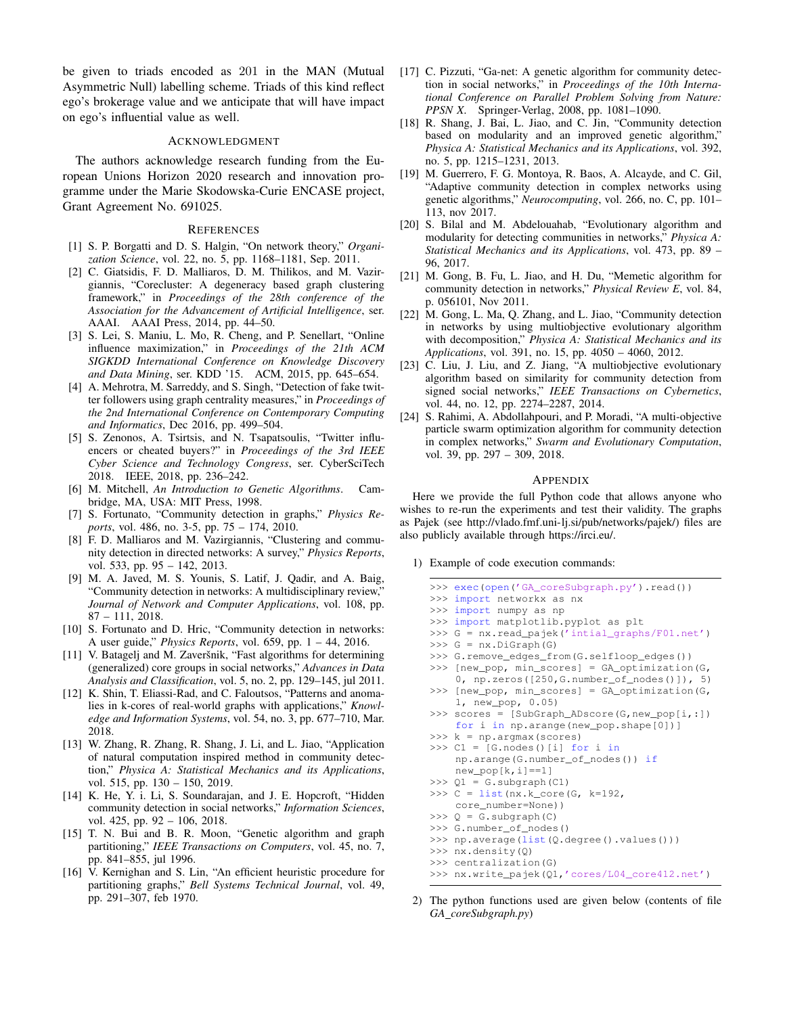be given to triads encoded as 201 in the MAN (Mutual Asymmetric Null) labelling scheme. Triads of this kind reflect ego's brokerage value and we anticipate that will have impact on ego's influential value as well.

#### ACKNOWLEDGMENT

The authors acknowledge research funding from the European Unions Horizon 2020 research and innovation programme under the Marie Skodowska-Curie ENCASE project, Grant Agreement No. 691025.

#### **REFERENCES**

- [1] S. P. Borgatti and D. S. Halgin, "On network theory," *Organization Science*, vol. 22, no. 5, pp. 1168–1181, Sep. 2011.
- [2] C. Giatsidis, F. D. Malliaros, D. M. Thilikos, and M. Vazirgiannis, "Corecluster: A degeneracy based graph clustering framework," in *Proceedings of the 28th conference of the Association for the Advancement of Artificial Intelligence*, ser. AAAI. AAAI Press, 2014, pp. 44–50.
- [3] S. Lei, S. Maniu, L. Mo, R. Cheng, and P. Senellart, "Online influence maximization," in *Proceedings of the 21th ACM SIGKDD International Conference on Knowledge Discovery and Data Mining*, ser. KDD '15. ACM, 2015, pp. 645–654.
- [4] A. Mehrotra, M. Sarreddy, and S. Singh, "Detection of fake twitter followers using graph centrality measures," in *Proceedings of the 2nd International Conference on Contemporary Computing and Informatics*, Dec 2016, pp. 499–504.
- [5] S. Zenonos, A. Tsirtsis, and N. Tsapatsoulis, "Twitter influencers or cheated buyers?" in *Proceedings of the 3rd IEEE Cyber Science and Technology Congress*, ser. CyberSciTech 2018. IEEE, 2018, pp. 236–242.
- [6] M. Mitchell, *An Introduction to Genetic Algorithms*. Cambridge, MA, USA: MIT Press, 1998.
- [7] S. Fortunato, "Community detection in graphs," *Physics Reports*, vol. 486, no. 3-5, pp. 75 – 174, 2010.
- [8] F. D. Malliaros and M. Vazirgiannis, "Clustering and community detection in directed networks: A survey," *Physics Reports*, vol. 533, pp. 95 – 142, 2013.
- [9] M. A. Javed, M. S. Younis, S. Latif, J. Qadir, and A. Baig, "Community detection in networks: A multidisciplinary review," *Journal of Network and Computer Applications*, vol. 108, pp. 87 – 111, 2018.
- [10] S. Fortunato and D. Hric, "Community detection in networks: A user guide," *Physics Reports*, vol. 659, pp. 1 – 44, 2016.
- [11] V. Batagelj and M. Zaveršnik, "Fast algorithms for determining (generalized) core groups in social networks," *Advances in Data Analysis and Classification*, vol. 5, no. 2, pp. 129–145, jul 2011.
- [12] K. Shin, T. Eliassi-Rad, and C. Faloutsos, "Patterns and anomalies in k-cores of real-world graphs with applications," *Knowledge and Information Systems*, vol. 54, no. 3, pp. 677–710, Mar. 2018.
- [13] W. Zhang, R. Zhang, R. Shang, J. Li, and L. Jiao, "Application of natural computation inspired method in community detection," *Physica A: Statistical Mechanics and its Applications*, vol. 515, pp. 130 – 150, 2019.
- [14] K. He, Y. i. Li, S. Soundarajan, and J. E. Hopcroft, "Hidden community detection in social networks," *Information Sciences*, vol. 425, pp. 92 – 106, 2018.
- [15] T. N. Bui and B. R. Moon, "Genetic algorithm and graph partitioning," *IEEE Transactions on Computers*, vol. 45, no. 7, pp. 841–855, jul 1996.
- [16] V. Kernighan and S. Lin, "An efficient heuristic procedure for partitioning graphs," *Bell Systems Technical Journal*, vol. 49, pp. 291–307, feb 1970.
- [17] C. Pizzuti, "Ga-net: A genetic algorithm for community detection in social networks," in *Proceedings of the 10th International Conference on Parallel Problem Solving from Nature: PPSN X*. Springer-Verlag, 2008, pp. 1081–1090.
- [18] R. Shang, J. Bai, L. Jiao, and C. Jin, "Community detection based on modularity and an improved genetic algorithm," *Physica A: Statistical Mechanics and its Applications*, vol. 392, no. 5, pp. 1215–1231, 2013.
- [19] M. Guerrero, F. G. Montoya, R. Baos, A. Alcayde, and C. Gil, "Adaptive community detection in complex networks using genetic algorithms," *Neurocomputing*, vol. 266, no. C, pp. 101– 113, nov 2017.
- [20] S. Bilal and M. Abdelouahab, "Evolutionary algorithm and modularity for detecting communities in networks," *Physica A: Statistical Mechanics and its Applications*, vol. 473, pp. 89 – 96, 2017.
- [21] M. Gong, B. Fu, L. Jiao, and H. Du, "Memetic algorithm for community detection in networks," *Physical Review E*, vol. 84, p. 056101, Nov 2011.
- [22] M. Gong, L. Ma, Q. Zhang, and L. Jiao, "Community detection in networks by using multiobjective evolutionary algorithm with decomposition," *Physica A: Statistical Mechanics and its Applications*, vol. 391, no. 15, pp. 4050 – 4060, 2012.
- [23] C. Liu, J. Liu, and Z. Jiang, "A multiobjective evolutionary algorithm based on similarity for community detection from signed social networks," *IEEE Transactions on Cybernetics*, vol. 44, no. 12, pp. 2274–2287, 2014.
- [24] S. Rahimi, A. Abdollahpouri, and P. Moradi, "A multi-objective particle swarm optimization algorithm for community detection in complex networks," *Swarm and Evolutionary Computation*, vol. 39, pp. 297 – 309, 2018.

#### APPENDIX

Here we provide the full Python code that allows anyone who wishes to re-run the experiments and test their validity. The graphs as Pajek (see http://vlado.fmf.uni-lj.si/pub/networks/pajek/) files are also publicly available through https://irci.eu/.

1) Example of code execution commands:

| >>> exec(open('GA_coreSubgraph.py').read())            |
|--------------------------------------------------------|
| >>> import networkx as nx                              |
| >>> import numpy as np                                 |
| >>> import matplotlib.pyplot as plt                    |
| >>> G = nx.read_pajek('intial_graphs/F01.net')         |
| $>>$ G = $nx.DiGraph(G)$                               |
| >>> G.remove_edges_from(G.selfloop_edges())            |
| >>> [new_pop, min_scores] = GA_optimization(G,         |
| 0, np.zeros( $[250, G.\text{number_of nodes}()]$ ), 5) |
| >>> [new_pop, min_scores] = GA_optimization(G,         |
| 1, new pop, 0.05                                       |
| >>> scores = $[SubGraph_ADscore(G, new\_pop[i, :])$    |
| for i in $np.arange(new pop.shape[0])$                 |
| $>> k = np.arange(scores)$                             |
| >>> $C1 = [G.nodes() [i] for i in$                     |
| np.arange(G.number_of_nodes()) if                      |
| $new\_pop[k, i] == 1]$                                 |
| $>> Q1 = G.subgraph(C1)$                               |
| >>> $C = list(nx.k\_core(G, k=192,$                    |
| core number=None))                                     |
| $>> Q = G.subgraph(C)$                                 |
| >>> G.number_of_nodes()                                |
| >>> np.average(list(Q.degree().values()))              |
| $>>$ nx.density(Q)                                     |
| >>> centralization(G)                                  |
| >>> nx.write_pajek(Q1,'cores/L04_core412.net')         |

2) The python functions used are given below (contents of file *GA coreSubgraph.py*)